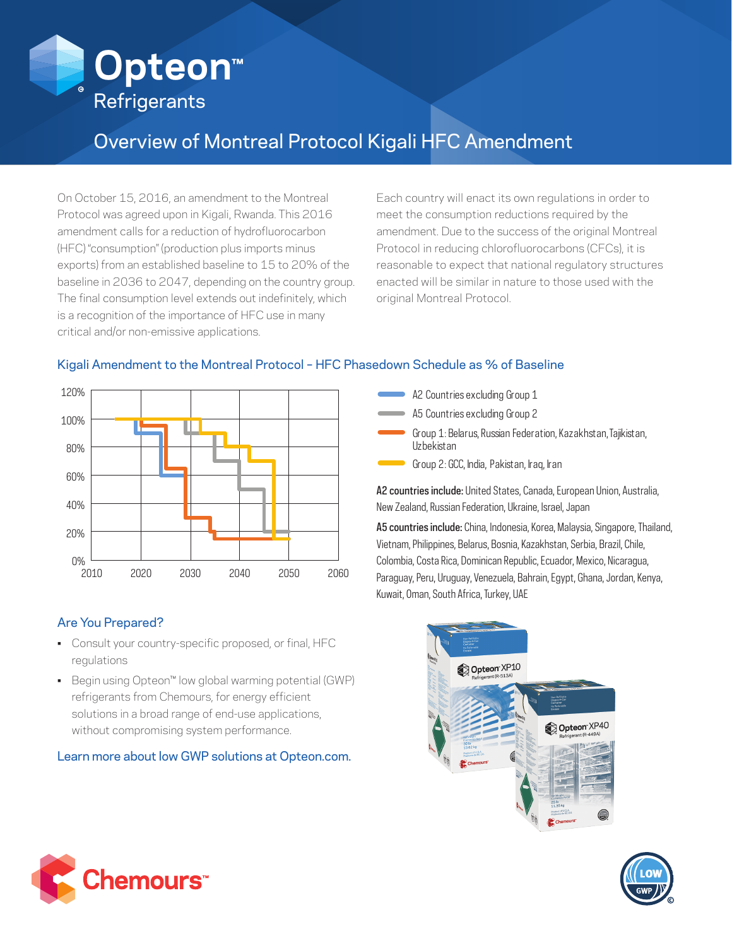

# Overview of Montreal Protocol Kigali HFC Amendment

On October 15, 2016, an amendment to the Montreal Protocol was agreed upon in Kigali, Rwanda. This 2016 amendment calls for a reduction of hydrofluorocarbon (HFC) "consumption" (production plus imports minus exports) from an established baseline to 15 to 20% of the baseline in 2036 to 2047, depending on the country group. The final consumption level extends out indefinitely, which is a recognition of the importance of HFC use in many critical and/or non-emissive applications.

Each country will enact its own regulations in order to meet the consumption reductions required by the amendment. Due to the success of the original Montreal Protocol in reducing chlorofluorocarbons (CFCs), it is reasonable to expect that national regulatory structures enacted will be similar in nature to those used with the original Montreal Protocol.



## Kigali Amendment to the Montreal Protocol – HFC Phasedown Schedule as % of Baseline

### Are You Prepared?

- Consult your country-specific proposed, or final, HFC regulations
- Begin using Opteon™ low global warming potential (GWP) refrigerants from Chemours, for energy efficient solutions in a broad range of end-use applications, without compromising system performance.

### Learn more about low GWP solutions at Opteon.com.

- A2 Countries excluding Group 1
- A5 Countries excluding Group 2
- Group 1: Belarus, Russian Federation, Kazakhstan, Tajikistan, Uzbekistan
- Group 2: GCC, India, Pakistan, Iraq, Iran

A2 countries include: United States, Canada, European Union, Australia, New Zealand, Russian Federation, Ukraine, Israel, Japan

A5 countries include: China, Indonesia, Korea, Malaysia, Singapore, Thailand, Vietnam, Philippines, Belarus, Bosnia, Kazakhstan, Serbia, Brazil, Chile, Colombia, Costa Rica, Dominican Republic, Ecuador, Mexico, Nicaragua, Paraguay, Peru, Uruguay, Venezuela, Bahrain, Egypt, Ghana, Jordan, Kenya, Kuwait, Oman, South Africa, Turkey, UAE